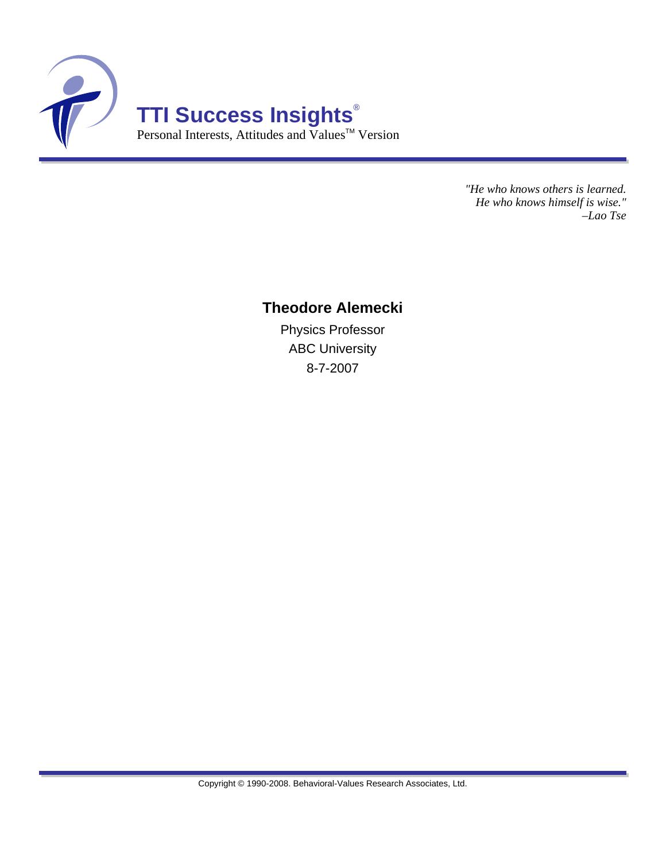

*"He who knows others is learned. He who knows himself is wise." –Lao Tse*

#### **Theodore Alemecki**

Physics Professor ABC University 8-7-2007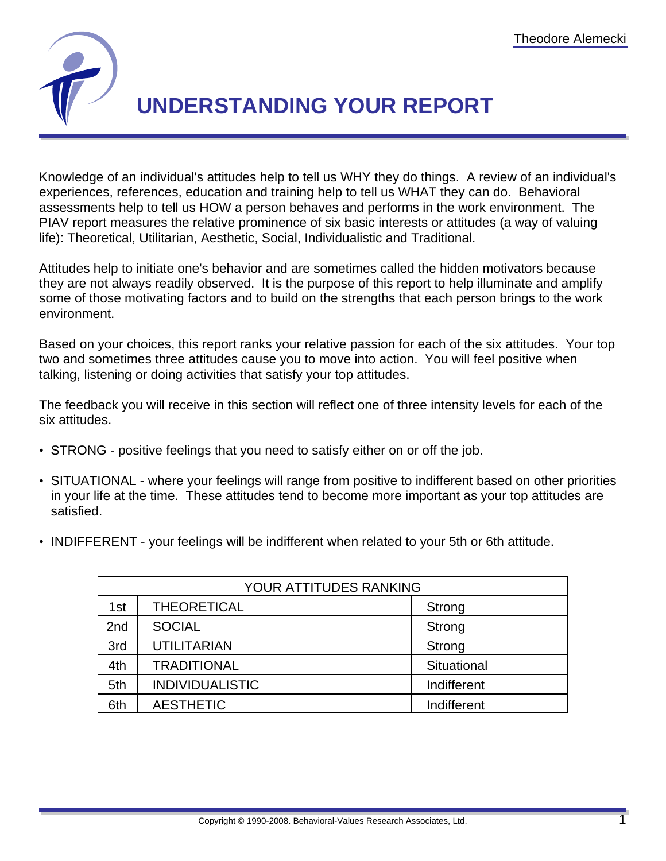

# **UNDERSTANDING YOUR REPORT**

Knowledge of an individual's attitudes help to tell us WHY they do things. A review of an individual's experiences, references, education and training help to tell us WHAT they can do. Behavioral assessments help to tell us HOW a person behaves and performs in the work environment. The PIAV report measures the relative prominence of six basic interests or attitudes (a way of valuing life): Theoretical, Utilitarian, Aesthetic, Social, Individualistic and Traditional.

Attitudes help to initiate one's behavior and are sometimes called the hidden motivators because they are not always readily observed. It is the purpose of this report to help illuminate and amplify some of those motivating factors and to build on the strengths that each person brings to the work environment.

Based on your choices, this report ranks your relative passion for each of the six attitudes. Your top two and sometimes three attitudes cause you to move into action. You will feel positive when talking, listening or doing activities that satisfy your top attitudes.

The feedback you will receive in this section will reflect one of three intensity levels for each of the six attitudes.

- STRONG positive feelings that you need to satisfy either on or off the job.
- SITUATIONAL where your feelings will range from positive to indifferent based on other priorities in your life at the time. These attitudes tend to become more important as your top attitudes are satisfied.
- INDIFFERENT your feelings will be indifferent when related to your 5th or 6th attitude.

| YOUR ATTITUDES RANKING |                        |             |  |  |
|------------------------|------------------------|-------------|--|--|
| 1st                    | <b>THEORETICAL</b>     | Strong      |  |  |
| 2 <sub>nd</sub>        | <b>SOCIAL</b>          | Strong      |  |  |
| 3rd                    | <b>UTILITARIAN</b>     | Strong      |  |  |
| 4th                    | <b>TRADITIONAL</b>     | Situational |  |  |
| 5th                    | <b>INDIVIDUALISTIC</b> | Indifferent |  |  |
| 6th                    | <b>AESTHETIC</b>       | Indifferent |  |  |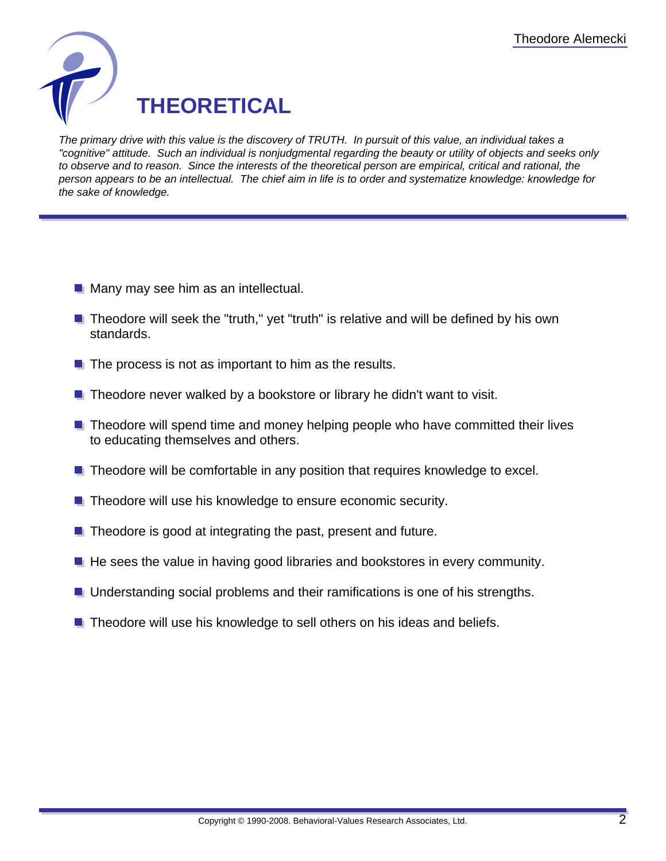

The primary drive with this value is the discovery of TRUTH. In pursuit of this value, an individual takes a "cognitive" attitude. Such an individual is nonjudgmental regarding the beauty or utility of objects and seeks only to observe and to reason. Since the interests of the theoretical person are empirical, critical and rational, the person appears to be an intellectual. The chief aim in life is to order and systematize knowledge: knowledge for the sake of knowledge.

- **Many may see him as an intellectual.**
- **Theodore will seek the "truth," yet "truth" is relative and will be defined by his own** standards.
- $\blacksquare$  The process is not as important to him as the results.
- **Theodore never walked by a bookstore or library he didn't want to visit.**
- $\blacksquare$  Theodore will spend time and money helping people who have committed their lives to educating themselves and others.
- **Theodore will be comfortable in any position that requires knowledge to excel.**
- **Theodore will use his knowledge to ensure economic security.**
- $\blacksquare$  Theodore is good at integrating the past, present and future.
- $\blacksquare$  He sees the value in having good libraries and bookstores in every community.
- **Understanding social problems and their ramifications is one of his strengths.**
- **Theodore will use his knowledge to sell others on his ideas and beliefs.**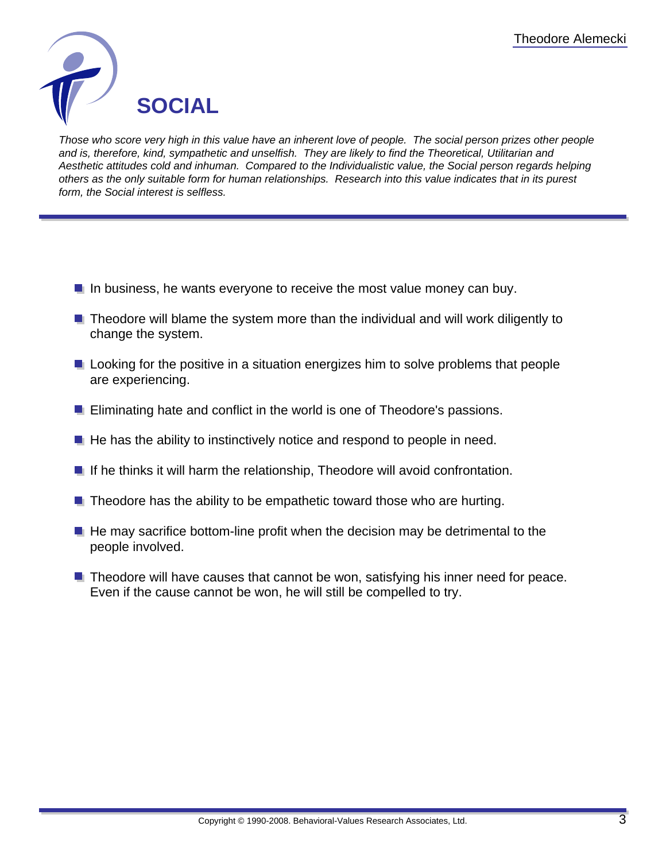

Those who score very high in this value have an inherent love of people. The social person prizes other people and is, therefore, kind, sympathetic and unselfish. They are likely to find the Theoretical, Utilitarian and Aesthetic attitudes cold and inhuman. Compared to the Individualistic value, the Social person regards helping others as the only suitable form for human relationships. Research into this value indicates that in its purest form, the Social interest is selfless.

- In business, he wants everyone to receive the most value money can buy.
- **Theodore will blame the system more than the individual and will work diligently to** change the system.
- **L** Looking for the positive in a situation energizes him to solve problems that people are experiencing.
- **E** Eliminating hate and conflict in the world is one of Theodore's passions.
- $\blacksquare$  He has the ability to instinctively notice and respond to people in need.
- $\blacksquare$  If he thinks it will harm the relationship, Theodore will avoid confrontation.
- $\blacksquare$  Theodore has the ability to be empathetic toward those who are hurting.
- $\blacksquare$  He may sacrifice bottom-line profit when the decision may be detrimental to the people involved.
- $\blacksquare$  Theodore will have causes that cannot be won, satisfying his inner need for peace. Even if the cause cannot be won, he will still be compelled to try.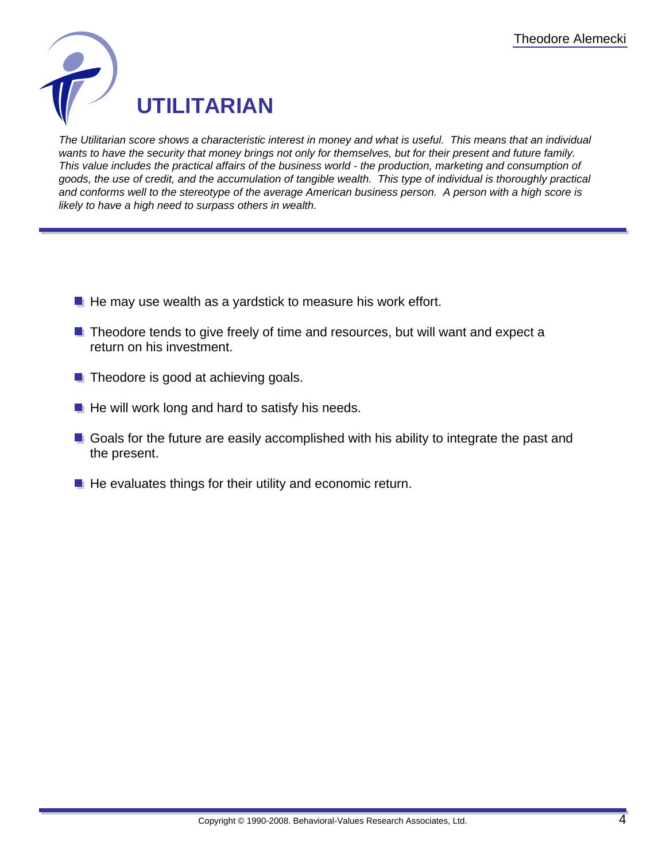

The Utilitarian score shows a characteristic interest in money and what is useful. This means that an individual wants to have the security that money brings not only for themselves, but for their present and future family. This value includes the practical affairs of the business world - the production, marketing and consumption of goods, the use of credit, and the accumulation of tangible wealth. This type of individual is thoroughly practical and conforms well to the stereotype of the average American business person. A person with a high score is likely to have a high need to surpass others in wealth.

- $\blacksquare$  He may use wealth as a yardstick to measure his work effort.
- **Theodore tends to give freely of time and resources, but will want and expect a** return on his investment.
- $\blacksquare$  Theodore is good at achieving goals.
- $\blacksquare$  He will work long and hard to satisfy his needs.
- Goals for the future are easily accomplished with his ability to integrate the past and the present.
- $\blacksquare$  He evaluates things for their utility and economic return.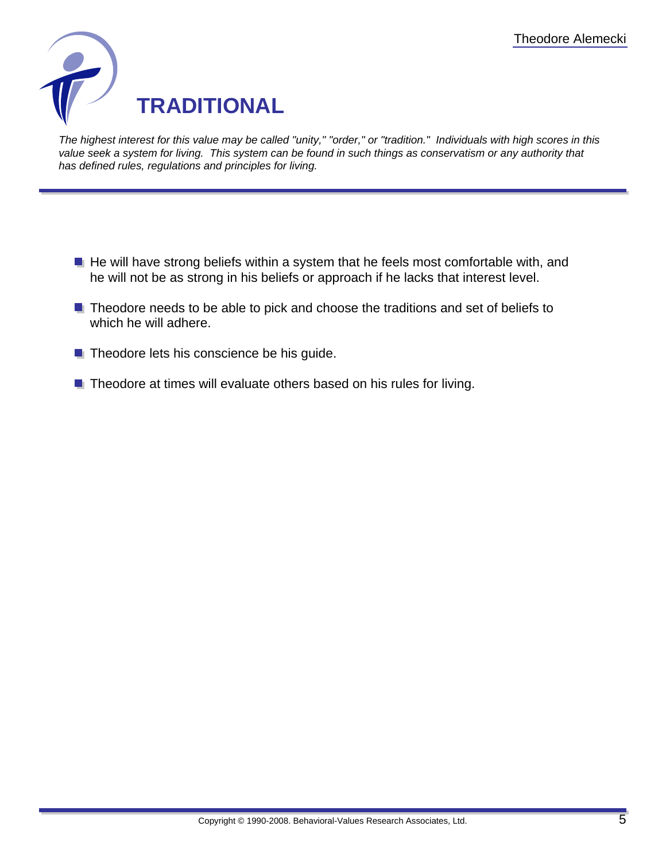

The highest interest for this value may be called "unity," "order," or "tradition." Individuals with high scores in this value seek a system for living. This system can be found in such things as conservatism or any authority that has defined rules, regulations and principles for living.

- $\blacksquare$  He will have strong beliefs within a system that he feels most comfortable with, and he will not be as strong in his beliefs or approach if he lacks that interest level.
- **Theodore needs to be able to pick and choose the traditions and set of beliefs to** which he will adhere.
- $\blacksquare$  Theodore lets his conscience be his guide.
- $\blacksquare$  Theodore at times will evaluate others based on his rules for living.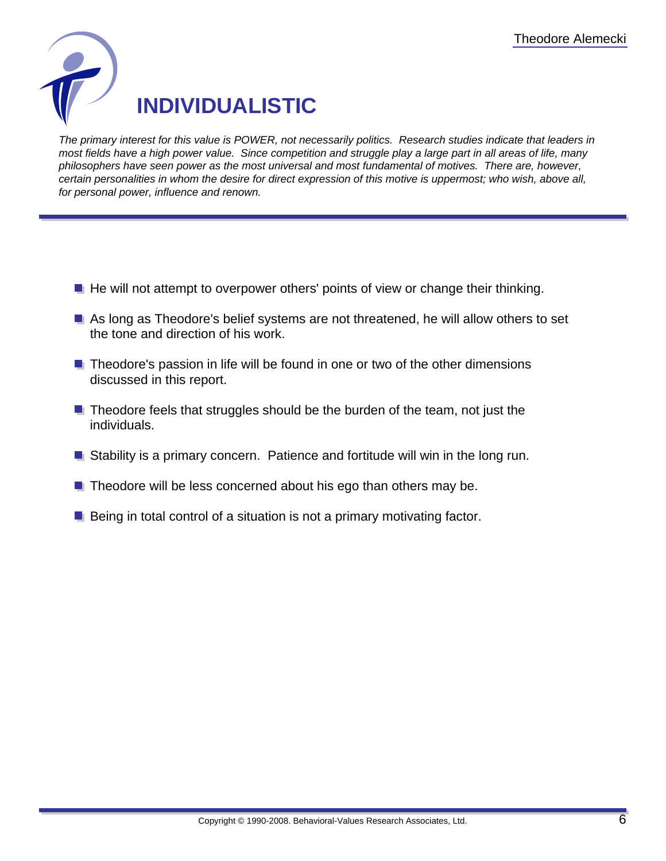

The primary interest for this value is POWER, not necessarily politics. Research studies indicate that leaders in most fields have a high power value. Since competition and struggle play a large part in all areas of life, many philosophers have seen power as the most universal and most fundamental of motives. There are, however, certain personalities in whom the desire for direct expression of this motive is uppermost; who wish, above all, for personal power, influence and renown.

- $\blacksquare$  He will not attempt to overpower others' points of view or change their thinking.
- As long as Theodore's belief systems are not threatened, he will allow others to set the tone and direction of his work.
- $\blacksquare$  Theodore's passion in life will be found in one or two of the other dimensions discussed in this report.
- $\blacksquare$  Theodore feels that struggles should be the burden of the team, not just the individuals.
- **E** Stability is a primary concern. Patience and fortitude will win in the long run.
- $\blacksquare$  Theodore will be less concerned about his ego than others may be.
- $\blacksquare$  Being in total control of a situation is not a primary motivating factor.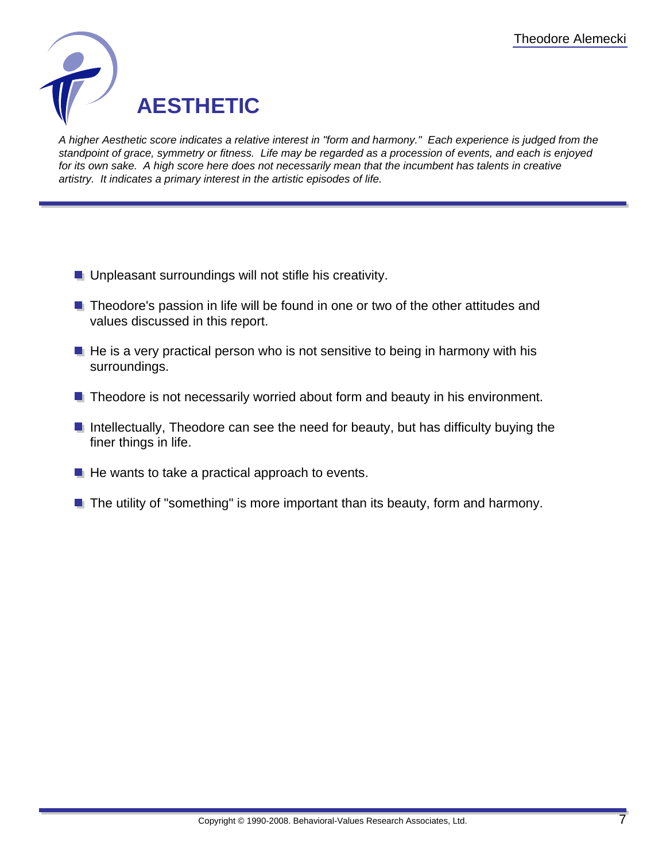

A higher Aesthetic score indicates a relative interest in "form and harmony." Each experience is judged from the standpoint of grace, symmetry or fitness. Life may be regarded as a procession of events, and each is enjoyed for its own sake. A high score here does not necessarily mean that the incumbent has talents in creative artistry. It indicates a primary interest in the artistic episodes of life.

- **Unpleasant surroundings will not stifle his creativity.**
- **Theodore's passion in life will be found in one or two of the other attitudes and** values discussed in this report.
- $\blacksquare$  He is a very practical person who is not sensitive to being in harmony with his surroundings.
- $\blacksquare$  Theodore is not necessarily worried about form and beauty in his environment.
- **Intellectually, Theodore can see the need for beauty, but has difficulty buying the** finer things in life.
- $\blacksquare$  He wants to take a practical approach to events.
- $\blacksquare$  The utility of "something" is more important than its beauty, form and harmony.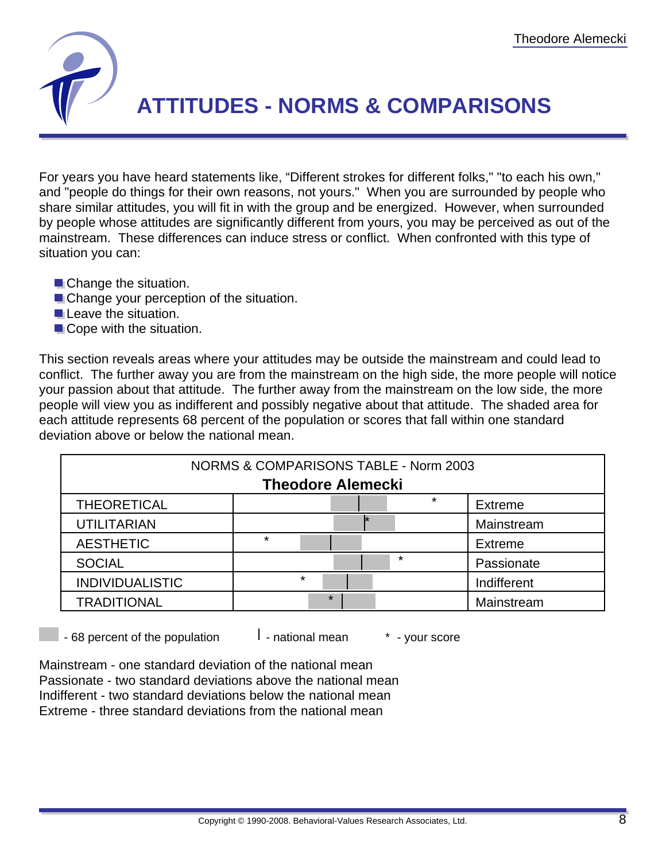

## **ATTITUDES - NORMS & COMPARISONS**

For years you have heard statements like, "Different strokes for different folks," "to each his own," and "people do things for their own reasons, not yours." When you are surrounded by people who share similar attitudes, you will fit in with the group and be energized. However, when surrounded by people whose attitudes are significantly different from yours, you may be perceived as out of the mainstream. These differences can induce stress or conflict. When confronted with this type of situation you can:

- **Change the situation.**
- **Change your perception of the situation.**
- **Leave the situation.**
- Cope with the situation.

This section reveals areas where your attitudes may be outside the mainstream and could lead to conflict. The further away you are from the mainstream on the high side, the more people will notice your passion about that attitude. The further away from the mainstream on the low side, the more people will view you as indifferent and possibly negative about that attitude. The shaded area for each attitude represents 68 percent of the population or scores that fall within one standard deviation above or below the national mean.

| NORMS & COMPARISONS TABLE - Norm 2003 |         |         |         |                |  |  |  |
|---------------------------------------|---------|---------|---------|----------------|--|--|--|
| <b>Theodore Alemecki</b>              |         |         |         |                |  |  |  |
| <b>THEORETICAL</b>                    |         |         | *       | <b>Extreme</b> |  |  |  |
| <b>UTILITARIAN</b>                    |         |         |         | Mainstream     |  |  |  |
| <b>AESTHETIC</b>                      | $\star$ |         |         | <b>Extreme</b> |  |  |  |
| <b>SOCIAL</b>                         |         |         | $\star$ | Passionate     |  |  |  |
| <b>INDIVIDUALISTIC</b>                | $\star$ |         |         | Indifferent    |  |  |  |
| <b>TRADITIONAL</b>                    |         | $\star$ |         | Mainstream     |  |  |  |

 $-68$  percent of the population  $-1$  - national mean  $-1$  - your score

Mainstream - one standard deviation of the national mean Passionate - two standard deviations above the national mean Indifferent - two standard deviations below the national mean Extreme - three standard deviations from the national mean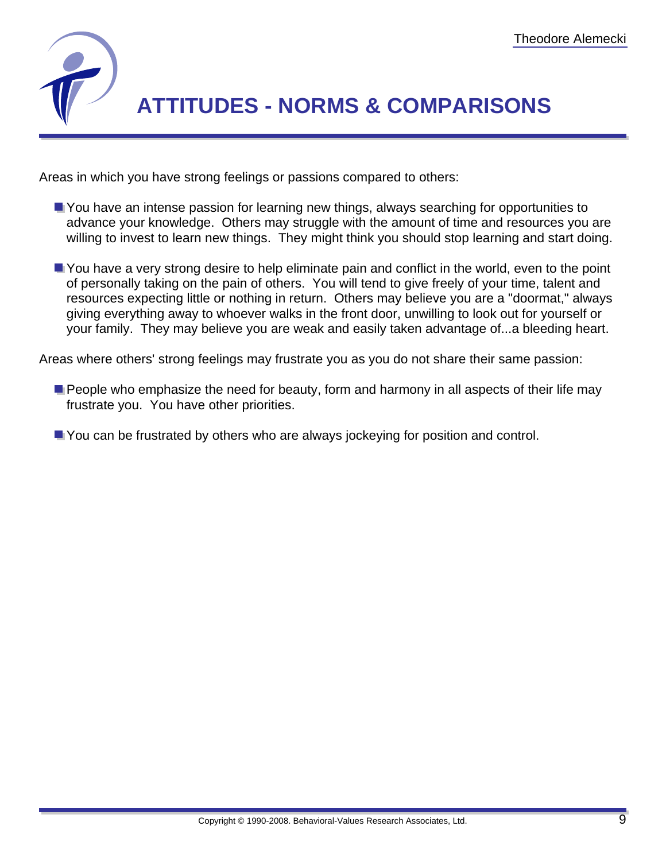

# **ATTITUDES - NORMS & COMPARISONS**

Areas in which you have strong feelings or passions compared to others:

- **T** You have an intense passion for learning new things, always searching for opportunities to advance your knowledge. Others may struggle with the amount of time and resources you are willing to invest to learn new things. They might think you should stop learning and start doing.
- You have a very strong desire to help eliminate pain and conflict in the world, even to the point of personally taking on the pain of others. You will tend to give freely of your time, talent and resources expecting little or nothing in return. Others may believe you are a "doormat," always giving everything away to whoever walks in the front door, unwilling to look out for yourself or your family. They may believe you are weak and easily taken advantage of...a bleeding heart.

Areas where others' strong feelings may frustrate you as you do not share their same passion:

**People who emphasize the need for beauty, form and harmony in all aspects of their life may** frustrate you. You have other priorities.

You can be frustrated by others who are always jockeying for position and control.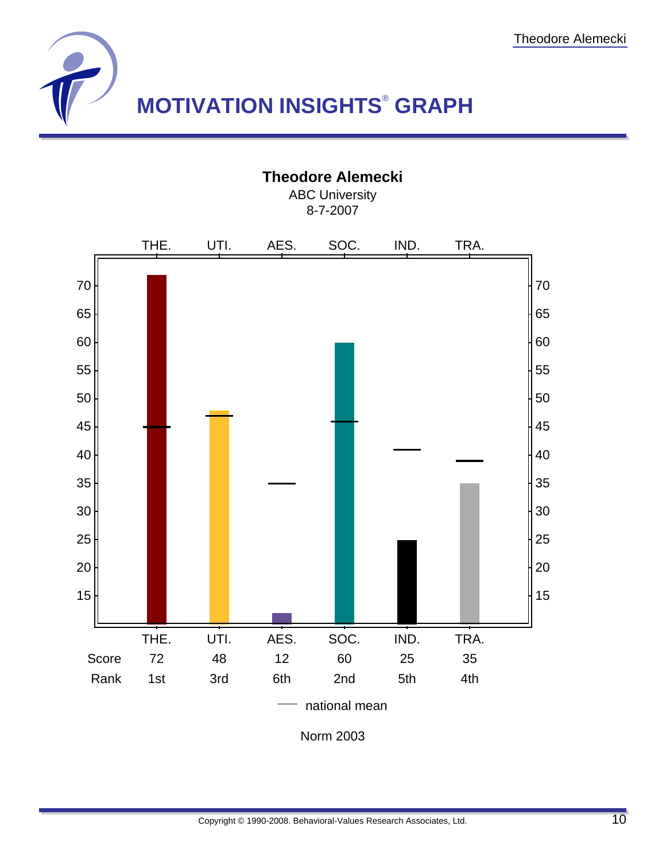

### **Theodore Alemecki**

ABC University 8-7-2007